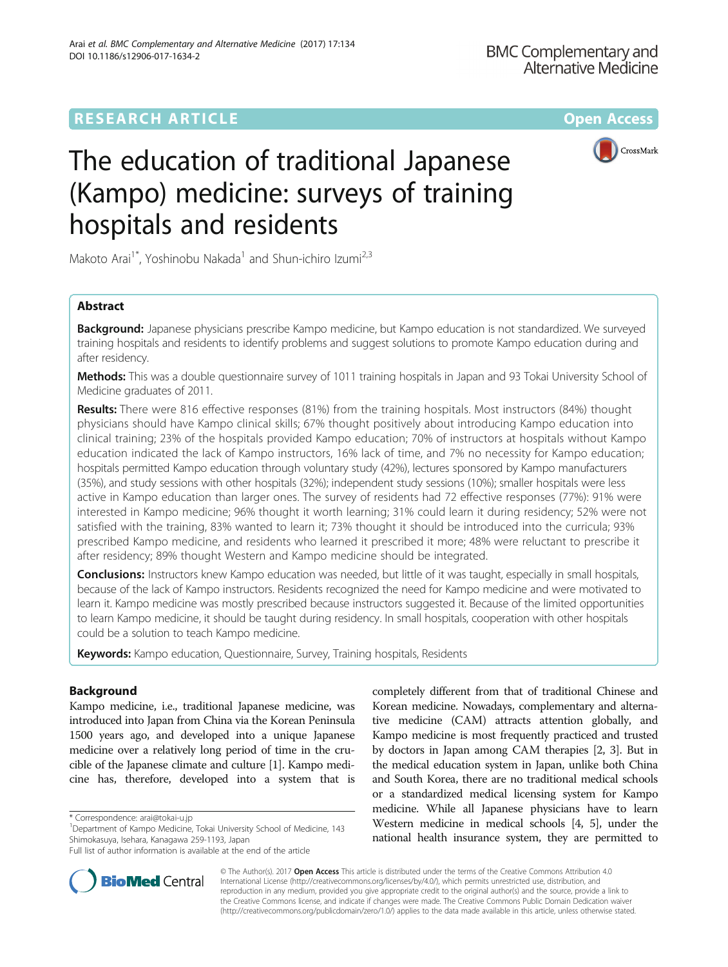# **RESEARCH ARTICLE Example 2014 12:30 The Contract of Contract ACCESS**



# The education of traditional Japanese (Kampo) medicine: surveys of training hospitals and residents

Makoto Arai<sup>1\*</sup>, Yoshinobu Nakada<sup>1</sup> and Shun-ichiro Izumi<sup>2,3</sup>

# Abstract

Background: Japanese physicians prescribe Kampo medicine, but Kampo education is not standardized. We surveyed training hospitals and residents to identify problems and suggest solutions to promote Kampo education during and after residency.

Methods: This was a double questionnaire survey of 1011 training hospitals in Japan and 93 Tokai University School of Medicine graduates of 2011.

Results: There were 816 effective responses (81%) from the training hospitals. Most instructors (84%) thought physicians should have Kampo clinical skills; 67% thought positively about introducing Kampo education into clinical training; 23% of the hospitals provided Kampo education; 70% of instructors at hospitals without Kampo education indicated the lack of Kampo instructors, 16% lack of time, and 7% no necessity for Kampo education; hospitals permitted Kampo education through voluntary study (42%), lectures sponsored by Kampo manufacturers (35%), and study sessions with other hospitals (32%); independent study sessions (10%); smaller hospitals were less active in Kampo education than larger ones. The survey of residents had 72 effective responses (77%): 91% were interested in Kampo medicine; 96% thought it worth learning; 31% could learn it during residency; 52% were not satisfied with the training, 83% wanted to learn it; 73% thought it should be introduced into the curricula; 93% prescribed Kampo medicine, and residents who learned it prescribed it more; 48% were reluctant to prescribe it after residency; 89% thought Western and Kampo medicine should be integrated.

**Conclusions:** Instructors knew Kampo education was needed, but little of it was taught, especially in small hospitals, because of the lack of Kampo instructors. Residents recognized the need for Kampo medicine and were motivated to learn it. Kampo medicine was mostly prescribed because instructors suggested it. Because of the limited opportunities to learn Kampo medicine, it should be taught during residency. In small hospitals, cooperation with other hospitals could be a solution to teach Kampo medicine.

Keywords: Kampo education, Questionnaire, Survey, Training hospitals, Residents

# Background

Kampo medicine, i.e., traditional Japanese medicine, was introduced into Japan from China via the Korean Peninsula 1500 years ago, and developed into a unique Japanese medicine over a relatively long period of time in the crucible of the Japanese climate and culture [\[1\]](#page-9-0). Kampo medicine has, therefore, developed into a system that is

Full list of author information is available at the end of the article





© The Author(s). 2017 **Open Access** This article is distributed under the terms of the Creative Commons Attribution 4.0 International License [\(http://creativecommons.org/licenses/by/4.0/](http://creativecommons.org/licenses/by/4.0/)), which permits unrestricted use, distribution, and reproduction in any medium, provided you give appropriate credit to the original author(s) and the source, provide a link to the Creative Commons license, and indicate if changes were made. The Creative Commons Public Domain Dedication waiver [\(http://creativecommons.org/publicdomain/zero/1.0/](http://creativecommons.org/publicdomain/zero/1.0/)) applies to the data made available in this article, unless otherwise stated.

<sup>\*</sup> Correspondence: [arai@tokai-u.jp](mailto:arai@tokai-u.jp) <sup>1</sup>

<sup>&</sup>lt;sup>1</sup>Department of Kampo Medicine, Tokai University School of Medicine, 143 Shimokasuya, Isehara, Kanagawa 259-1193, Japan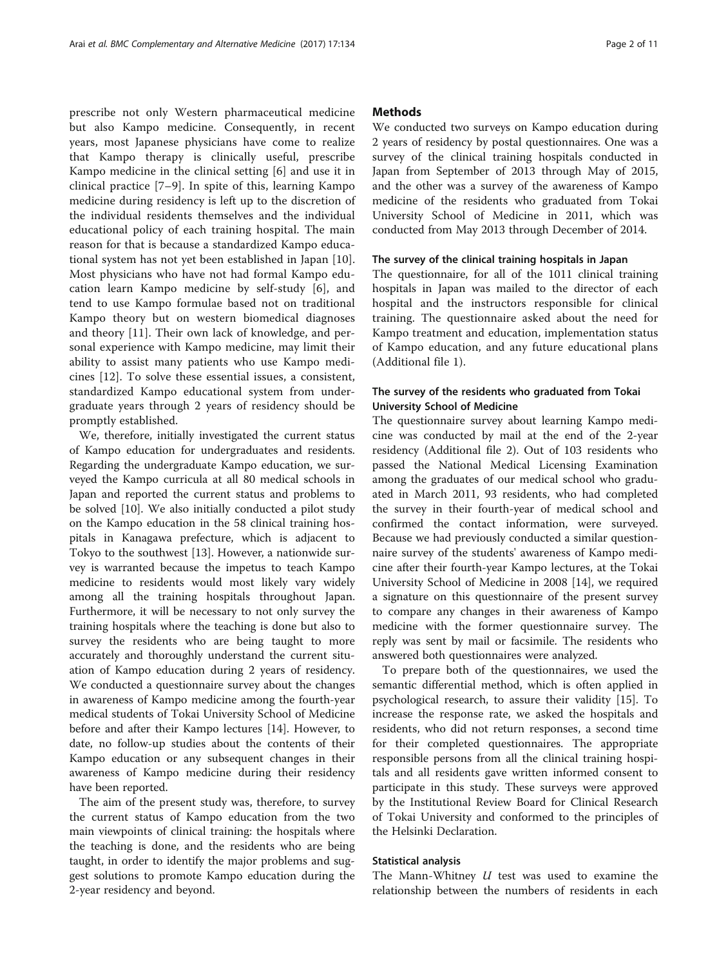prescribe not only Western pharmaceutical medicine but also Kampo medicine. Consequently, in recent years, most Japanese physicians have come to realize that Kampo therapy is clinically useful, prescribe Kampo medicine in the clinical setting [\[6](#page-9-0)] and use it in clinical practice [[7](#page-9-0)–[9\]](#page-9-0). In spite of this, learning Kampo medicine during residency is left up to the discretion of the individual residents themselves and the individual educational policy of each training hospital. The main reason for that is because a standardized Kampo educational system has not yet been established in Japan [\[10](#page-10-0)]. Most physicians who have not had formal Kampo education learn Kampo medicine by self-study [[6\]](#page-9-0), and tend to use Kampo formulae based not on traditional Kampo theory but on western biomedical diagnoses and theory [\[11](#page-10-0)]. Their own lack of knowledge, and personal experience with Kampo medicine, may limit their ability to assist many patients who use Kampo medicines [[12\]](#page-10-0). To solve these essential issues, a consistent, standardized Kampo educational system from undergraduate years through 2 years of residency should be promptly established.

We, therefore, initially investigated the current status of Kampo education for undergraduates and residents. Regarding the undergraduate Kampo education, we surveyed the Kampo curricula at all 80 medical schools in Japan and reported the current status and problems to be solved [\[10\]](#page-10-0). We also initially conducted a pilot study on the Kampo education in the 58 clinical training hospitals in Kanagawa prefecture, which is adjacent to Tokyo to the southwest [[13\]](#page-10-0). However, a nationwide survey is warranted because the impetus to teach Kampo medicine to residents would most likely vary widely among all the training hospitals throughout Japan. Furthermore, it will be necessary to not only survey the training hospitals where the teaching is done but also to survey the residents who are being taught to more accurately and thoroughly understand the current situation of Kampo education during 2 years of residency. We conducted a questionnaire survey about the changes in awareness of Kampo medicine among the fourth-year medical students of Tokai University School of Medicine before and after their Kampo lectures [[14](#page-10-0)]. However, to date, no follow-up studies about the contents of their Kampo education or any subsequent changes in their awareness of Kampo medicine during their residency have been reported.

The aim of the present study was, therefore, to survey the current status of Kampo education from the two main viewpoints of clinical training: the hospitals where the teaching is done, and the residents who are being taught, in order to identify the major problems and suggest solutions to promote Kampo education during the 2-year residency and beyond.

# **Methods**

We conducted two surveys on Kampo education during 2 years of residency by postal questionnaires. One was a survey of the clinical training hospitals conducted in Japan from September of 2013 through May of 2015, and the other was a survey of the awareness of Kampo medicine of the residents who graduated from Tokai University School of Medicine in 2011, which was conducted from May 2013 through December of 2014.

# The survey of the clinical training hospitals in Japan

The questionnaire, for all of the 1011 clinical training hospitals in Japan was mailed to the director of each hospital and the instructors responsible for clinical training. The questionnaire asked about the need for Kampo treatment and education, implementation status of Kampo education, and any future educational plans (Additional file [1\)](#page-9-0).

# The survey of the residents who graduated from Tokai University School of Medicine

The questionnaire survey about learning Kampo medicine was conducted by mail at the end of the 2-year residency (Additional file [2](#page-9-0)). Out of 103 residents who passed the National Medical Licensing Examination among the graduates of our medical school who graduated in March 2011, 93 residents, who had completed the survey in their fourth-year of medical school and confirmed the contact information, were surveyed. Because we had previously conducted a similar questionnaire survey of the students' awareness of Kampo medicine after their fourth-year Kampo lectures, at the Tokai University School of Medicine in 2008 [[14\]](#page-10-0), we required a signature on this questionnaire of the present survey to compare any changes in their awareness of Kampo medicine with the former questionnaire survey. The reply was sent by mail or facsimile. The residents who answered both questionnaires were analyzed.

To prepare both of the questionnaires, we used the semantic differential method, which is often applied in psychological research, to assure their validity [\[15](#page-10-0)]. To increase the response rate, we asked the hospitals and residents, who did not return responses, a second time for their completed questionnaires. The appropriate responsible persons from all the clinical training hospitals and all residents gave written informed consent to participate in this study. These surveys were approved by the Institutional Review Board for Clinical Research of Tokai University and conformed to the principles of the Helsinki Declaration.

#### Statistical analysis

The Mann-Whitney  $U$  test was used to examine the relationship between the numbers of residents in each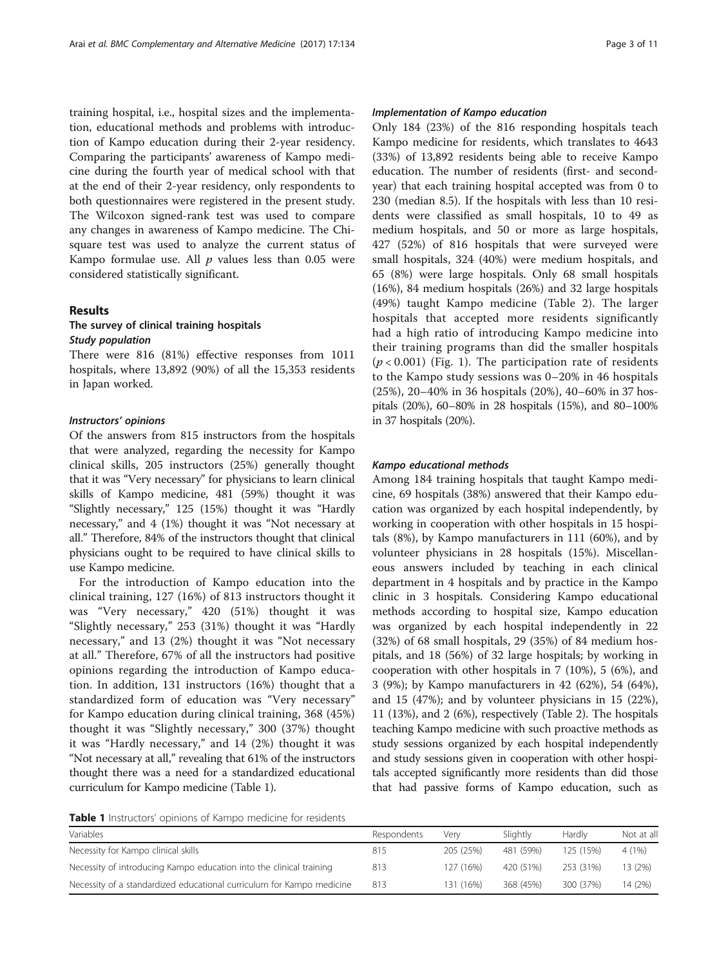training hospital, i.e., hospital sizes and the implementation, educational methods and problems with introduction of Kampo education during their 2-year residency. Comparing the participants' awareness of Kampo medicine during the fourth year of medical school with that at the end of their 2-year residency, only respondents to both questionnaires were registered in the present study. The Wilcoxon signed-rank test was used to compare any changes in awareness of Kampo medicine. The Chisquare test was used to analyze the current status of Kampo formulae use. All  $p$  values less than 0.05 were considered statistically significant.

# Results

# The survey of clinical training hospitals Study population

There were 816 (81%) effective responses from 1011 hospitals, where 13,892 (90%) of all the 15,353 residents in Japan worked.

# Instructors' opinions

Of the answers from 815 instructors from the hospitals that were analyzed, regarding the necessity for Kampo clinical skills, 205 instructors (25%) generally thought that it was "Very necessary" for physicians to learn clinical skills of Kampo medicine, 481 (59%) thought it was "Slightly necessary," 125 (15%) thought it was "Hardly necessary," and 4 (1%) thought it was "Not necessary at all." Therefore, 84% of the instructors thought that clinical physicians ought to be required to have clinical skills to use Kampo medicine.

For the introduction of Kampo education into the clinical training, 127 (16%) of 813 instructors thought it was "Very necessary," 420 (51%) thought it was "Slightly necessary," 253 (31%) thought it was "Hardly necessary," and 13 (2%) thought it was "Not necessary at all." Therefore, 67% of all the instructors had positive opinions regarding the introduction of Kampo education. In addition, 131 instructors (16%) thought that a standardized form of education was "Very necessary" for Kampo education during clinical training, 368 (45%) thought it was "Slightly necessary," 300 (37%) thought it was "Hardly necessary," and 14 (2%) thought it was "Not necessary at all," revealing that 61% of the instructors thought there was a need for a standardized educational curriculum for Kampo medicine (Table 1).

### Implementation of Kampo education

Only 184 (23%) of the 816 responding hospitals teach Kampo medicine for residents, which translates to 4643 (33%) of 13,892 residents being able to receive Kampo education. The number of residents (first- and secondyear) that each training hospital accepted was from 0 to 230 (median 8.5). If the hospitals with less than 10 residents were classified as small hospitals, 10 to 49 as medium hospitals, and 50 or more as large hospitals, 427 (52%) of 816 hospitals that were surveyed were small hospitals, 324 (40%) were medium hospitals, and 65 (8%) were large hospitals. Only 68 small hospitals (16%), 84 medium hospitals (26%) and 32 large hospitals (49%) taught Kampo medicine (Table [2](#page-3-0)). The larger hospitals that accepted more residents significantly had a high ratio of introducing Kampo medicine into their training programs than did the smaller hospitals  $(p < 0.001)$  (Fig. [1](#page-3-0)). The participation rate of residents to the Kampo study sessions was 0–20% in 46 hospitals (25%), 20–40% in 36 hospitals (20%), 40–60% in 37 hospitals (20%), 60–80% in 28 hospitals (15%), and 80–100% in 37 hospitals (20%).

# Kampo educational methods

Among 184 training hospitals that taught Kampo medicine, 69 hospitals (38%) answered that their Kampo education was organized by each hospital independently, by working in cooperation with other hospitals in 15 hospitals (8%), by Kampo manufacturers in 111 (60%), and by volunteer physicians in 28 hospitals (15%). Miscellaneous answers included by teaching in each clinical department in 4 hospitals and by practice in the Kampo clinic in 3 hospitals. Considering Kampo educational methods according to hospital size, Kampo education was organized by each hospital independently in 22 (32%) of 68 small hospitals, 29 (35%) of 84 medium hospitals, and 18 (56%) of 32 large hospitals; by working in cooperation with other hospitals in 7 (10%), 5 (6%), and 3 (9%); by Kampo manufacturers in 42 (62%), 54 (64%), and 15 (47%); and by volunteer physicians in 15 (22%), 11 (13%), and 2 (6%), respectively (Table [2](#page-3-0)). The hospitals teaching Kampo medicine with such proactive methods as study sessions organized by each hospital independently and study sessions given in cooperation with other hospitals accepted significantly more residents than did those that had passive forms of Kampo education, such as

Table 1 Instructors' opinions of Kampo medicine for residents

| Variables                                                             | Respondents | Verv      | Slightly  | Hardly    | Not at all |
|-----------------------------------------------------------------------|-------------|-----------|-----------|-----------|------------|
| Necessity for Kampo clinical skills                                   | 815         | 205 (25%) | 481 (59%) | 125 (15%) | 4 (1%)     |
| Necessity of introducing Kampo education into the clinical training   | 813         | 127 (16%) | 420 (51%) | 253 (31%) | 13 (2%)    |
| Necessity of a standardized educational curriculum for Kampo medicine | 813         | 131 (16%) | 368 (45%) | 300 (37%) | 14 (2%)    |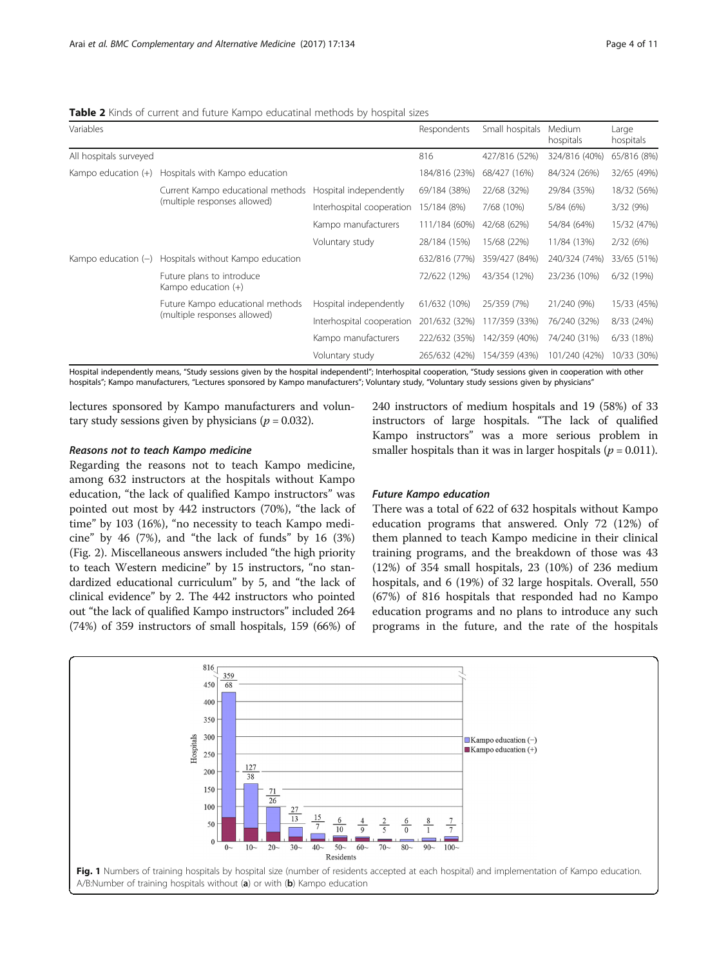<span id="page-3-0"></span>Table 2 Kinds of current and future Kampo educatinal methods by hospital sizes

| Variables              |                                                                   |                           | Respondents   | Small hospitals | Medium<br>hospitals | Large<br>hospitals |
|------------------------|-------------------------------------------------------------------|---------------------------|---------------|-----------------|---------------------|--------------------|
| All hospitals surveyed |                                                                   |                           | 816           | 427/816 (52%)   | 324/816 (40%)       | 65/816 (8%)        |
|                        | Kampo education $(+)$ Hospitals with Kampo education              |                           | 184/816 (23%) | 68/427 (16%)    | 84/324 (26%)        | 32/65 (49%)        |
|                        | Current Kampo educational methods<br>(multiple responses allowed) | Hospital independently    | 69/184 (38%)  | 22/68 (32%)     | 29/84 (35%)         | 18/32 (56%)        |
|                        |                                                                   | Interhospital cooperation | 15/184 (8%)   | 7/68 (10%)      | 5/84 (6%)           | 3/32 (9%)          |
|                        |                                                                   | Kampo manufacturers       | 111/184 (60%) | 42/68 (62%)     | 54/84 (64%)         | 15/32 (47%)        |
|                        |                                                                   | Voluntary study           | 28/184 (15%)  | 15/68 (22%)     | 11/84 (13%)         | 2/32(6%)           |
| Kampo education $(-)$  | Hospitals without Kampo education                                 |                           | 632/816 (77%) | 359/427 (84%)   | 240/324 (74%)       | 33/65 (51%)        |
|                        | Future plans to introduce<br>Kampo education (+)                  |                           | 72/622 (12%)  | 43/354 (12%)    | 23/236 (10%)        | 6/32 (19%)         |
|                        | Future Kampo educational methods<br>(multiple responses allowed)  | Hospital independently    | 61/632 (10%)  | 25/359 (7%)     | 21/240 (9%)         | 15/33 (45%)        |
|                        |                                                                   | Interhospital cooperation | 201/632 (32%) | 117/359 (33%)   | 76/240 (32%)        | 8/33 (24%)         |
|                        |                                                                   | Kampo manufacturers       | 222/632 (35%) | 142/359 (40%)   | 74/240 (31%)        | 6/33 (18%)         |
|                        |                                                                   | Voluntary study           | 265/632 (42%) | 154/359 (43%)   | 101/240 (42%)       | 10/33 (30%)        |

Hospital independently means, "Study sessions given by the hospital independentl"; Interhospital cooperation, "Study sessions given in cooperation with other hospitals"; Kampo manufacturers, "Lectures sponsored by Kampo manufacturers"; Voluntary study, "Voluntary study sessions given by physicians"

lectures sponsored by Kampo manufacturers and voluntary study sessions given by physicians ( $p = 0.032$ ).

#### Reasons not to teach Kampo medicine

Regarding the reasons not to teach Kampo medicine, among 632 instructors at the hospitals without Kampo education, "the lack of qualified Kampo instructors" was pointed out most by 442 instructors (70%), "the lack of time" by 103 (16%), "no necessity to teach Kampo medicine" by 46  $(7%)$ , and "the lack of funds" by 16  $(3%)$ (Fig. [2](#page-4-0)). Miscellaneous answers included "the high priority to teach Western medicine" by 15 instructors, "no standardized educational curriculum" by 5, and "the lack of clinical evidence" by 2. The 442 instructors who pointed out "the lack of qualified Kampo instructors" included 264 (74%) of 359 instructors of small hospitals, 159 (66%) of 240 instructors of medium hospitals and 19 (58%) of 33 instructors of large hospitals. "The lack of qualified Kampo instructors" was a more serious problem in smaller hospitals than it was in larger hospitals ( $p = 0.011$ ).

# Future Kampo education

There was a total of 622 of 632 hospitals without Kampo education programs that answered. Only 72 (12%) of them planned to teach Kampo medicine in their clinical training programs, and the breakdown of those was 43 (12%) of 354 small hospitals, 23 (10%) of 236 medium hospitals, and 6 (19%) of 32 large hospitals. Overall, 550 (67%) of 816 hospitals that responded had no Kampo education programs and no plans to introduce any such programs in the future, and the rate of the hospitals

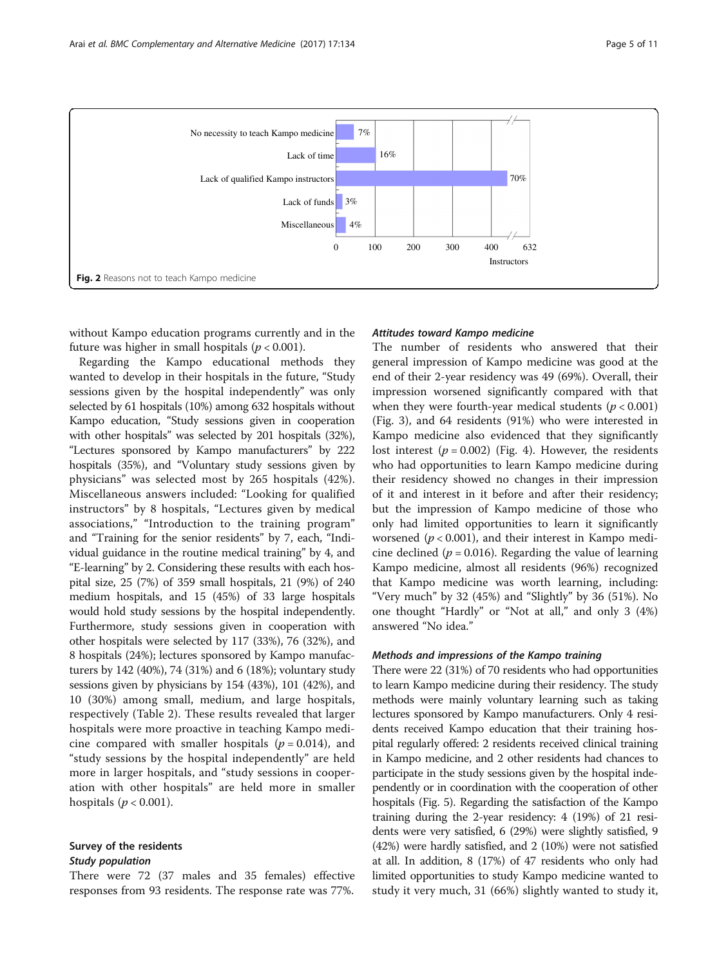<span id="page-4-0"></span>

without Kampo education programs currently and in the future was higher in small hospitals ( $p < 0.001$ ).

Regarding the Kampo educational methods they wanted to develop in their hospitals in the future, "Study sessions given by the hospital independently" was only selected by 61 hospitals (10%) among 632 hospitals without Kampo education, "Study sessions given in cooperation with other hospitals" was selected by 201 hospitals (32%), "Lectures sponsored by Kampo manufacturers" by 222 hospitals (35%), and "Voluntary study sessions given by physicians" was selected most by 265 hospitals (42%). Miscellaneous answers included: "Looking for qualified instructors" by 8 hospitals, "Lectures given by medical associations," "Introduction to the training program" and "Training for the senior residents" by 7, each, "Individual guidance in the routine medical training" by 4, and "E-learning" by 2. Considering these results with each hospital size, 25 (7%) of 359 small hospitals, 21 (9%) of 240 medium hospitals, and 15 (45%) of 33 large hospitals would hold study sessions by the hospital independently. Furthermore, study sessions given in cooperation with other hospitals were selected by 117 (33%), 76 (32%), and 8 hospitals (24%); lectures sponsored by Kampo manufacturers by 142 (40%), 74 (31%) and 6 (18%); voluntary study sessions given by physicians by 154 (43%), 101 (42%), and 10 (30%) among small, medium, and large hospitals, respectively (Table [2\)](#page-3-0). These results revealed that larger hospitals were more proactive in teaching Kampo medicine compared with smaller hospitals ( $p = 0.014$ ), and "study sessions by the hospital independently" are held more in larger hospitals, and "study sessions in cooperation with other hospitals" are held more in smaller hospitals ( $p < 0.001$ ).

# Survey of the residents Study population

There were 72 (37 males and 35 females) effective responses from 93 residents. The response rate was 77%.

# Attitudes toward Kampo medicine

The number of residents who answered that their general impression of Kampo medicine was good at the end of their 2-year residency was 49 (69%). Overall, their impression worsened significantly compared with that when they were fourth-year medical students ( $p < 0.001$ ) (Fig. [3](#page-5-0)), and 64 residents (91%) who were interested in Kampo medicine also evidenced that they significantly lost interest  $(p = 0.002)$  (Fig. [4\)](#page-5-0). However, the residents who had opportunities to learn Kampo medicine during their residency showed no changes in their impression of it and interest in it before and after their residency; but the impression of Kampo medicine of those who only had limited opportunities to learn it significantly worsened ( $p < 0.001$ ), and their interest in Kampo medicine declined ( $p = 0.016$ ). Regarding the value of learning Kampo medicine, almost all residents (96%) recognized that Kampo medicine was worth learning, including: "Very much" by 32 (45%) and "Slightly" by 36 (51%). No one thought "Hardly" or "Not at all," and only 3 (4%) answered "No idea."

### Methods and impressions of the Kampo training

There were 22 (31%) of 70 residents who had opportunities to learn Kampo medicine during their residency. The study methods were mainly voluntary learning such as taking lectures sponsored by Kampo manufacturers. Only 4 residents received Kampo education that their training hospital regularly offered: 2 residents received clinical training in Kampo medicine, and 2 other residents had chances to participate in the study sessions given by the hospital independently or in coordination with the cooperation of other hospitals (Fig. [5\)](#page-6-0). Regarding the satisfaction of the Kampo training during the 2-year residency: 4 (19%) of 21 residents were very satisfied, 6 (29%) were slightly satisfied, 9 (42%) were hardly satisfied, and 2 (10%) were not satisfied at all. In addition, 8 (17%) of 47 residents who only had limited opportunities to study Kampo medicine wanted to study it very much, 31 (66%) slightly wanted to study it,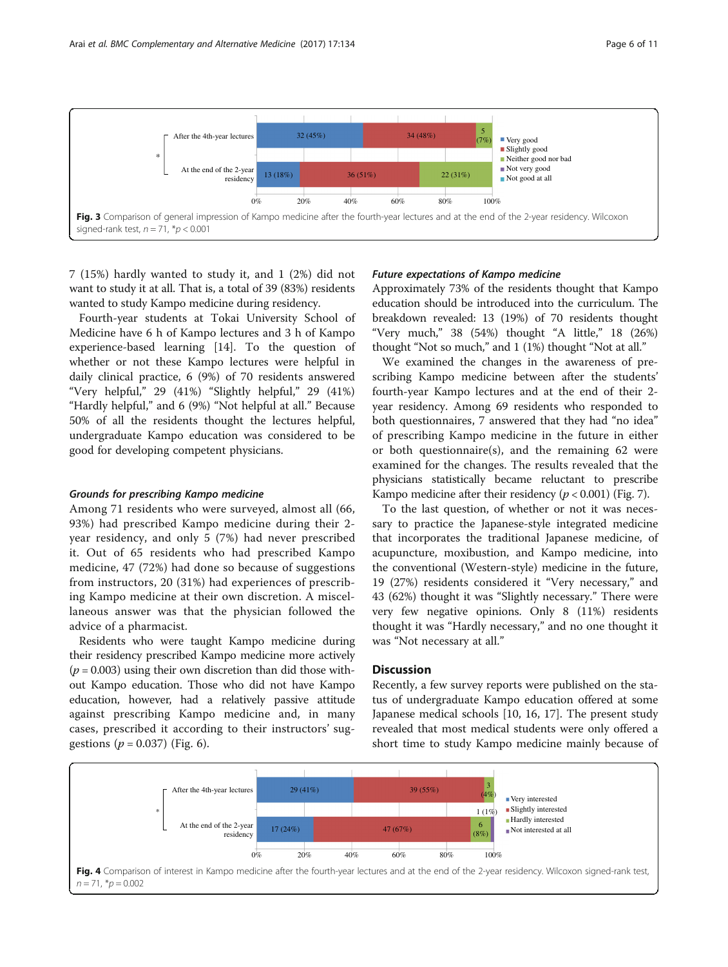<span id="page-5-0"></span>

7 (15%) hardly wanted to study it, and 1 (2%) did not want to study it at all. That is, a total of 39 (83%) residents wanted to study Kampo medicine during residency.

Fourth-year students at Tokai University School of Medicine have 6 h of Kampo lectures and 3 h of Kampo experience-based learning [\[14\]](#page-10-0). To the question of whether or not these Kampo lectures were helpful in daily clinical practice, 6 (9%) of 70 residents answered "Very helpful," 29 (41%) "Slightly helpful," 29 (41%) "Hardly helpful," and 6 (9%) "Not helpful at all." Because 50% of all the residents thought the lectures helpful, undergraduate Kampo education was considered to be good for developing competent physicians.

#### Grounds for prescribing Kampo medicine

Among 71 residents who were surveyed, almost all (66, 93%) had prescribed Kampo medicine during their 2 year residency, and only 5 (7%) had never prescribed it. Out of 65 residents who had prescribed Kampo medicine, 47 (72%) had done so because of suggestions from instructors, 20 (31%) had experiences of prescribing Kampo medicine at their own discretion. A miscellaneous answer was that the physician followed the advice of a pharmacist.

Residents who were taught Kampo medicine during their residency prescribed Kampo medicine more actively  $(p = 0.003)$  using their own discretion than did those without Kampo education. Those who did not have Kampo education, however, had a relatively passive attitude against prescribing Kampo medicine and, in many cases, prescribed it according to their instructors' suggestions ( $p = 0.037$ ) (Fig. [6\)](#page-6-0).

# Future expectations of Kampo medicine

Approximately 73% of the residents thought that Kampo education should be introduced into the curriculum. The breakdown revealed: 13 (19%) of 70 residents thought "Very much," 38 (54%) thought "A little," 18 (26%) thought "Not so much," and 1 (1%) thought "Not at all."

We examined the changes in the awareness of prescribing Kampo medicine between after the students' fourth-year Kampo lectures and at the end of their 2 year residency. Among 69 residents who responded to both questionnaires, 7 answered that they had "no idea" of prescribing Kampo medicine in the future in either or both questionnaire(s), and the remaining 62 were examined for the changes. The results revealed that the physicians statistically became reluctant to prescribe Kampo medicine after their residency ( $p < 0.001$ ) (Fig. [7\)](#page-7-0).

To the last question, of whether or not it was necessary to practice the Japanese-style integrated medicine that incorporates the traditional Japanese medicine, of acupuncture, moxibustion, and Kampo medicine, into the conventional (Western-style) medicine in the future, 19 (27%) residents considered it "Very necessary," and 43 (62%) thought it was "Slightly necessary." There were very few negative opinions. Only 8 (11%) residents thought it was "Hardly necessary," and no one thought it was "Not necessary at all."

### **Discussion**

Recently, a few survey reports were published on the status of undergraduate Kampo education offered at some Japanese medical schools [[10](#page-10-0), [16, 17\]](#page-10-0). The present study revealed that most medical students were only offered a short time to study Kampo medicine mainly because of

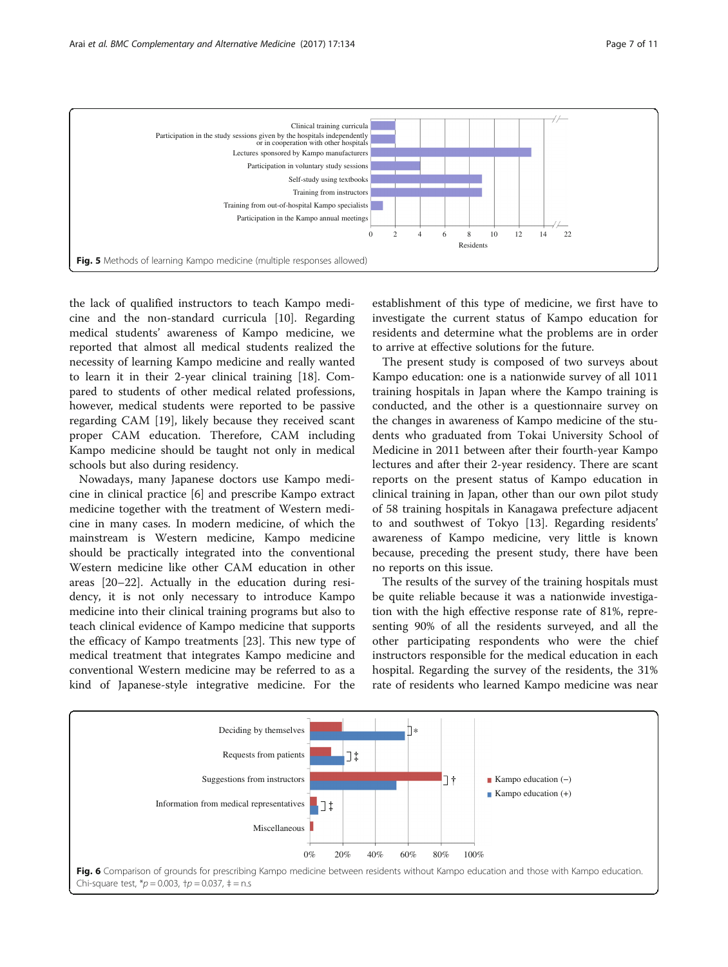<span id="page-6-0"></span>

the lack of qualified instructors to teach Kampo medicine and the non-standard curricula [[10\]](#page-10-0). Regarding medical students' awareness of Kampo medicine, we reported that almost all medical students realized the necessity of learning Kampo medicine and really wanted to learn it in their 2-year clinical training [[18\]](#page-10-0). Compared to students of other medical related professions, however, medical students were reported to be passive regarding CAM [[19\]](#page-10-0), likely because they received scant proper CAM education. Therefore, CAM including Kampo medicine should be taught not only in medical schools but also during residency.

Nowadays, many Japanese doctors use Kampo medicine in clinical practice [\[6](#page-9-0)] and prescribe Kampo extract medicine together with the treatment of Western medicine in many cases. In modern medicine, of which the mainstream is Western medicine, Kampo medicine should be practically integrated into the conventional Western medicine like other CAM education in other areas [\[20](#page-10-0)–[22\]](#page-10-0). Actually in the education during residency, it is not only necessary to introduce Kampo medicine into their clinical training programs but also to teach clinical evidence of Kampo medicine that supports the efficacy of Kampo treatments [[23](#page-10-0)]. This new type of medical treatment that integrates Kampo medicine and conventional Western medicine may be referred to as a kind of Japanese-style integrative medicine. For the

establishment of this type of medicine, we first have to investigate the current status of Kampo education for residents and determine what the problems are in order to arrive at effective solutions for the future.

The present study is composed of two surveys about Kampo education: one is a nationwide survey of all 1011 training hospitals in Japan where the Kampo training is conducted, and the other is a questionnaire survey on the changes in awareness of Kampo medicine of the students who graduated from Tokai University School of Medicine in 2011 between after their fourth-year Kampo lectures and after their 2-year residency. There are scant reports on the present status of Kampo education in clinical training in Japan, other than our own pilot study of 58 training hospitals in Kanagawa prefecture adjacent to and southwest of Tokyo [\[13\]](#page-10-0). Regarding residents' awareness of Kampo medicine, very little is known because, preceding the present study, there have been no reports on this issue.

The results of the survey of the training hospitals must be quite reliable because it was a nationwide investigation with the high effective response rate of 81%, representing 90% of all the residents surveyed, and all the other participating respondents who were the chief instructors responsible for the medical education in each hospital. Regarding the survey of the residents, the 31% rate of residents who learned Kampo medicine was near

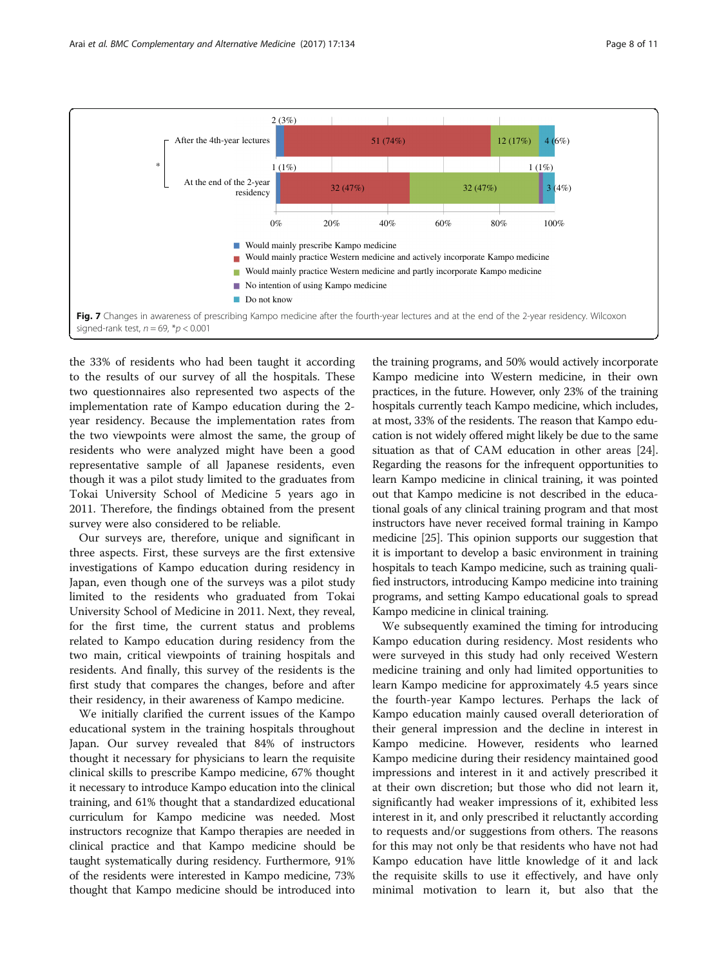<span id="page-7-0"></span>

the 33% of residents who had been taught it according to the results of our survey of all the hospitals. These two questionnaires also represented two aspects of the implementation rate of Kampo education during the 2 year residency. Because the implementation rates from the two viewpoints were almost the same, the group of residents who were analyzed might have been a good representative sample of all Japanese residents, even though it was a pilot study limited to the graduates from Tokai University School of Medicine 5 years ago in 2011. Therefore, the findings obtained from the present survey were also considered to be reliable.

Our surveys are, therefore, unique and significant in three aspects. First, these surveys are the first extensive investigations of Kampo education during residency in Japan, even though one of the surveys was a pilot study limited to the residents who graduated from Tokai University School of Medicine in 2011. Next, they reveal, for the first time, the current status and problems related to Kampo education during residency from the two main, critical viewpoints of training hospitals and residents. And finally, this survey of the residents is the first study that compares the changes, before and after their residency, in their awareness of Kampo medicine.

We initially clarified the current issues of the Kampo educational system in the training hospitals throughout Japan. Our survey revealed that 84% of instructors thought it necessary for physicians to learn the requisite clinical skills to prescribe Kampo medicine, 67% thought it necessary to introduce Kampo education into the clinical training, and 61% thought that a standardized educational curriculum for Kampo medicine was needed. Most instructors recognize that Kampo therapies are needed in clinical practice and that Kampo medicine should be taught systematically during residency. Furthermore, 91% of the residents were interested in Kampo medicine, 73% thought that Kampo medicine should be introduced into

the training programs, and 50% would actively incorporate Kampo medicine into Western medicine, in their own practices, in the future. However, only 23% of the training hospitals currently teach Kampo medicine, which includes, at most, 33% of the residents. The reason that Kampo education is not widely offered might likely be due to the same situation as that of CAM education in other areas [[24](#page-10-0)]. Regarding the reasons for the infrequent opportunities to learn Kampo medicine in clinical training, it was pointed out that Kampo medicine is not described in the educational goals of any clinical training program and that most instructors have never received formal training in Kampo medicine [[25](#page-10-0)]. This opinion supports our suggestion that it is important to develop a basic environment in training hospitals to teach Kampo medicine, such as training qualified instructors, introducing Kampo medicine into training programs, and setting Kampo educational goals to spread Kampo medicine in clinical training.

We subsequently examined the timing for introducing Kampo education during residency. Most residents who were surveyed in this study had only received Western medicine training and only had limited opportunities to learn Kampo medicine for approximately 4.5 years since the fourth-year Kampo lectures. Perhaps the lack of Kampo education mainly caused overall deterioration of their general impression and the decline in interest in Kampo medicine. However, residents who learned Kampo medicine during their residency maintained good impressions and interest in it and actively prescribed it at their own discretion; but those who did not learn it, significantly had weaker impressions of it, exhibited less interest in it, and only prescribed it reluctantly according to requests and/or suggestions from others. The reasons for this may not only be that residents who have not had Kampo education have little knowledge of it and lack the requisite skills to use it effectively, and have only minimal motivation to learn it, but also that the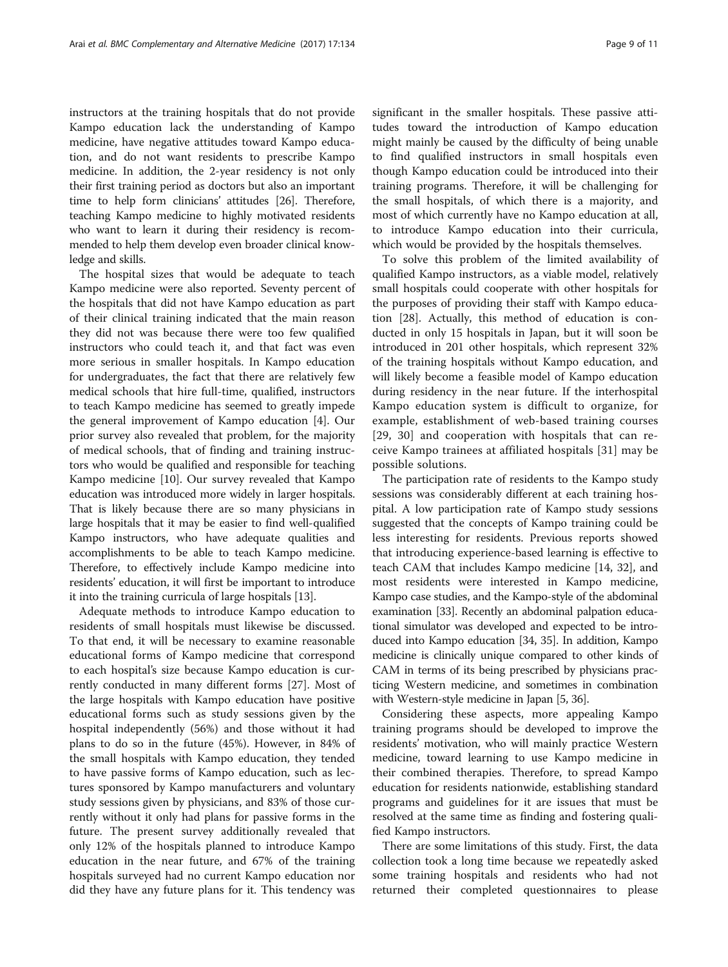instructors at the training hospitals that do not provide Kampo education lack the understanding of Kampo medicine, have negative attitudes toward Kampo education, and do not want residents to prescribe Kampo medicine. In addition, the 2-year residency is not only their first training period as doctors but also an important time to help form clinicians' attitudes [[26](#page-10-0)]. Therefore, teaching Kampo medicine to highly motivated residents who want to learn it during their residency is recommended to help them develop even broader clinical knowledge and skills.

The hospital sizes that would be adequate to teach Kampo medicine were also reported. Seventy percent of the hospitals that did not have Kampo education as part of their clinical training indicated that the main reason they did not was because there were too few qualified instructors who could teach it, and that fact was even more serious in smaller hospitals. In Kampo education for undergraduates, the fact that there are relatively few medical schools that hire full-time, qualified, instructors to teach Kampo medicine has seemed to greatly impede the general improvement of Kampo education [\[4](#page-9-0)]. Our prior survey also revealed that problem, for the majority of medical schools, that of finding and training instructors who would be qualified and responsible for teaching Kampo medicine [\[10\]](#page-10-0). Our survey revealed that Kampo education was introduced more widely in larger hospitals. That is likely because there are so many physicians in large hospitals that it may be easier to find well-qualified Kampo instructors, who have adequate qualities and accomplishments to be able to teach Kampo medicine. Therefore, to effectively include Kampo medicine into residents' education, it will first be important to introduce it into the training curricula of large hospitals [[13](#page-10-0)].

Adequate methods to introduce Kampo education to residents of small hospitals must likewise be discussed. To that end, it will be necessary to examine reasonable educational forms of Kampo medicine that correspond to each hospital's size because Kampo education is currently conducted in many different forms [\[27](#page-10-0)]. Most of the large hospitals with Kampo education have positive educational forms such as study sessions given by the hospital independently (56%) and those without it had plans to do so in the future (45%). However, in 84% of the small hospitals with Kampo education, they tended to have passive forms of Kampo education, such as lectures sponsored by Kampo manufacturers and voluntary study sessions given by physicians, and 83% of those currently without it only had plans for passive forms in the future. The present survey additionally revealed that only 12% of the hospitals planned to introduce Kampo education in the near future, and 67% of the training hospitals surveyed had no current Kampo education nor did they have any future plans for it. This tendency was

significant in the smaller hospitals. These passive attitudes toward the introduction of Kampo education might mainly be caused by the difficulty of being unable to find qualified instructors in small hospitals even though Kampo education could be introduced into their training programs. Therefore, it will be challenging for the small hospitals, of which there is a majority, and most of which currently have no Kampo education at all, to introduce Kampo education into their curricula, which would be provided by the hospitals themselves.

To solve this problem of the limited availability of qualified Kampo instructors, as a viable model, relatively small hospitals could cooperate with other hospitals for the purposes of providing their staff with Kampo education [[28\]](#page-10-0). Actually, this method of education is conducted in only 15 hospitals in Japan, but it will soon be introduced in 201 other hospitals, which represent 32% of the training hospitals without Kampo education, and will likely become a feasible model of Kampo education during residency in the near future. If the interhospital Kampo education system is difficult to organize, for example, establishment of web-based training courses [[29](#page-10-0), [30\]](#page-10-0) and cooperation with hospitals that can receive Kampo trainees at affiliated hospitals [[31](#page-10-0)] may be possible solutions.

The participation rate of residents to the Kampo study sessions was considerably different at each training hospital. A low participation rate of Kampo study sessions suggested that the concepts of Kampo training could be less interesting for residents. Previous reports showed that introducing experience-based learning is effective to teach CAM that includes Kampo medicine [[14](#page-10-0), [32\]](#page-10-0), and most residents were interested in Kampo medicine, Kampo case studies, and the Kampo-style of the abdominal examination [[33](#page-10-0)]. Recently an abdominal palpation educational simulator was developed and expected to be introduced into Kampo education [[34](#page-10-0), [35](#page-10-0)]. In addition, Kampo medicine is clinically unique compared to other kinds of CAM in terms of its being prescribed by physicians practicing Western medicine, and sometimes in combination with Western-style medicine in Japan [\[5,](#page-9-0) [36](#page-10-0)].

Considering these aspects, more appealing Kampo training programs should be developed to improve the residents' motivation, who will mainly practice Western medicine, toward learning to use Kampo medicine in their combined therapies. Therefore, to spread Kampo education for residents nationwide, establishing standard programs and guidelines for it are issues that must be resolved at the same time as finding and fostering qualified Kampo instructors.

There are some limitations of this study. First, the data collection took a long time because we repeatedly asked some training hospitals and residents who had not returned their completed questionnaires to please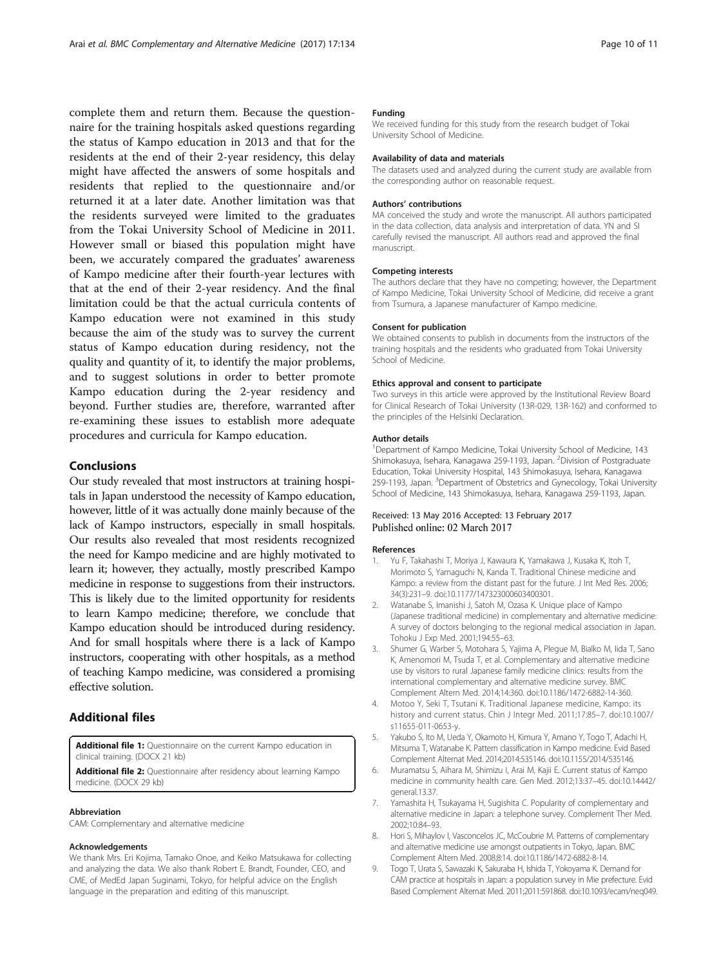<span id="page-9-0"></span>complete them and return them. Because the questionnaire for the training hospitals asked questions regarding the status of Kampo education in 2013 and that for the residents at the end of their 2-year residency, this delay might have affected the answers of some hospitals and residents that replied to the questionnaire and/or returned it at a later date. Another limitation was that the residents surveyed were limited to the graduates from the Tokai University School of Medicine in 2011. However small or biased this population might have been, we accurately compared the graduates' awareness of Kampo medicine after their fourth-year lectures with that at the end of their 2-year residency. And the final limitation could be that the actual curricula contents of Kampo education were not examined in this study because the aim of the study was to survey the current status of Kampo education during residency, not the quality and quantity of it, to identify the major problems, and to suggest solutions in order to better promote Kampo education during the 2-year residency and beyond. Further studies are, therefore, warranted after re-examining these issues to establish more adequate procedures and curricula for Kampo education.

# Conclusions

Our study revealed that most instructors at training hospitals in Japan understood the necessity of Kampo education, however, little of it was actually done mainly because of the lack of Kampo instructors, especially in small hospitals. Our results also revealed that most residents recognized the need for Kampo medicine and are highly motivated to learn it; however, they actually, mostly prescribed Kampo medicine in response to suggestions from their instructors. This is likely due to the limited opportunity for residents to learn Kampo medicine; therefore, we conclude that Kampo education should be introduced during residency. And for small hospitals where there is a lack of Kampo instructors, cooperating with other hospitals, as a method of teaching Kampo medicine, was considered a promising effective solution.

# Additional files

[Additional file 1:](dx.doi.org/10.1186/s12906-017-1634-2) Questionnaire on the current Kampo education in clinical training. (DOCX 21 kb)

[Additional file 2:](dx.doi.org/10.1186/s12906-017-1634-2) Questionnaire after residency about learning Kampo medicine. (DOCX 29 kb)

#### Abbreviation

CAM: Complementary and alternative medicine

#### Acknowledgements

We thank Mrs. Eri Kojima, Tamako Onoe, and Keiko Matsukawa for collecting and analyzing the data. We also thank Robert E. Brandt, Founder, CEO, and CME, of MedEd Japan Suginami, Tokyo, for helpful advice on the English language in the preparation and editing of this manuscript.

#### Funding

We received funding for this study from the research budget of Tokai University School of Medicine.

#### Availability of data and materials

The datasets used and analyzed during the current study are available from the corresponding author on reasonable request.

#### Authors' contributions

MA conceived the study and wrote the manuscript. All authors participated in the data collection, data analysis and interpretation of data. YN and SI carefully revised the manuscript. All authors read and approved the final manuscript.

#### Competing interests

The authors declare that they have no competing; however, the Department of Kampo Medicine, Tokai University School of Medicine, did receive a grant from Tsumura, a Japanese manufacturer of Kampo medicine.

#### Consent for publication

We obtained consents to publish in documents from the instructors of the training hospitals and the residents who graduated from Tokai University School of Medicine.

#### Ethics approval and consent to participate

Two surveys in this article were approved by the Institutional Review Board for Clinical Research of Tokai University (13R-029, 13R-162) and conformed to the principles of the Helsinki Declaration.

#### Author details

<sup>1</sup>Department of Kampo Medicine, Tokai University School of Medicine, 143 Shimokasuya, Isehara, Kanagawa 259-1193, Japan. <sup>2</sup>Division of Postgraduate Education, Tokai University Hospital, 143 Shimokasuya, Isehara, Kanagawa 259-1193, Japan. <sup>3</sup>Department of Obstetrics and Gynecology, Tokai University School of Medicine, 143 Shimokasuya, Isehara, Kanagawa 259-1193, Japan.

#### Received: 13 May 2016 Accepted: 13 February 2017 Published online: 02 March 2017

#### References

- 1. Yu F, Takahashi T, Moriya J, Kawaura K, Yamakawa J, Kusaka K, Itoh T, Morimoto S, Yamaguchi N, Kanda T. Traditional Chinese medicine and Kampo: a review from the distant past for the future. J Int Med Res. 2006; 34(3):231–9. doi:[10.1177/147323000603400301](http://dx.doi.org/10.1177/147323000603400301).
- 2. Watanabe S, Imanishi J, Satoh M, Ozasa K. Unique place of Kampo (Japanese traditional medicine) in complementary and alternative medicine: A survey of doctors belonging to the regional medical association in Japan. Tohoku J Exp Med. 2001;194:55–63.
- 3. Shumer G, Warber S, Motohara S, Yajima A, Plegue M, Bialko M, Iida T, Sano K, Amenomori M, Tsuda T, et al. Complementary and alternative medicine use by visitors to rural Japanese family medicine clinics: results from the international complementary and alternative medicine survey. BMC Complement Altern Med. 2014;14:360. doi[:10.1186/1472-6882-14-360](http://dx.doi.org/10.1186/1472-6882-14-360).
- 4. Motoo Y, Seki T, Tsutani K. Traditional Japanese medicine, Kampo: its history and current status. Chin J Integr Med. 2011;17:85–7. doi[:10.1007/](http://dx.doi.org/10.1007/s11655-011-0653-y) [s11655-011-0653-y](http://dx.doi.org/10.1007/s11655-011-0653-y).
- 5. Yakubo S, Ito M, Ueda Y, Okamoto H, Kimura Y, Amano Y, Togo T, Adachi H, Mitsuma T, Watanabe K. Pattern classification in Kampo medicine. Evid Based Complement Alternat Med. 2014;2014:535146. doi[:10.1155/2014/535146](http://dx.doi.org/10.1155/2014/535146).
- 6. Muramatsu S, Aihara M, Shimizu I, Arai M, Kajii E. Current status of Kampo medicine in community health care. Gen Med. 2012;13:37–45. doi[:10.14442/](http://dx.doi.org/10.14442/general.13.37) [general.13.37.](http://dx.doi.org/10.14442/general.13.37)
- 7. Yamashita H, Tsukayama H, Sugishita C. Popularity of complementary and alternative medicine in Japan: a telephone survey. Complement Ther Med. 2002;10:84–93.
- 8. Hori S, Mihaylov I, Vasconcelos JC, McCoubrie M. Patterns of complementary and alternative medicine use amongst outpatients in Tokyo, Japan. BMC Complement Altern Med. 2008;8:14. doi:[10.1186/1472-6882-8-14.](http://dx.doi.org/10.1186/1472-6882-8-14)
- 9. Togo T, Urata S, Sawazaki K, Sakuraba H, Ishida T, Yokoyama K. Demand for CAM practice at hospitals in Japan: a population survey in Mie prefecture. Evid Based Complement Alternat Med. 2011;2011:591868. doi:[10.1093/ecam/neq049.](http://dx.doi.org/10.1093/ecam/neq049)